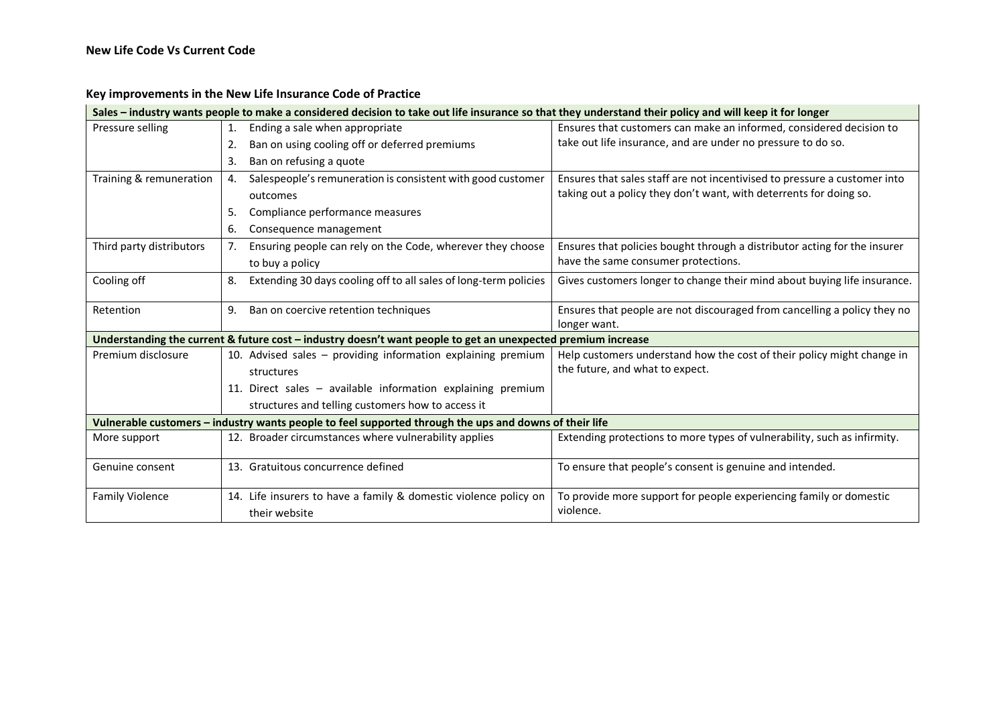## **Key improvements in the New Life Insurance Code of Practice**

| Sales – industry wants people to make a considered decision to take out life insurance so that they understand their policy and will keep it for longer |     |                                                                                                              |                                                                           |  |  |
|---------------------------------------------------------------------------------------------------------------------------------------------------------|-----|--------------------------------------------------------------------------------------------------------------|---------------------------------------------------------------------------|--|--|
| Pressure selling                                                                                                                                        | 1.  | Ending a sale when appropriate                                                                               | Ensures that customers can make an informed, considered decision to       |  |  |
|                                                                                                                                                         | 2.  | Ban on using cooling off or deferred premiums                                                                | take out life insurance, and are under no pressure to do so.              |  |  |
|                                                                                                                                                         | 3.  | Ban on refusing a quote                                                                                      |                                                                           |  |  |
| Training & remuneration                                                                                                                                 | 4.  | Salespeople's remuneration is consistent with good customer                                                  | Ensures that sales staff are not incentivised to pressure a customer into |  |  |
|                                                                                                                                                         |     | outcomes                                                                                                     | taking out a policy they don't want, with deterrents for doing so.        |  |  |
|                                                                                                                                                         | 5.  | Compliance performance measures                                                                              |                                                                           |  |  |
|                                                                                                                                                         | 6.  | Consequence management                                                                                       |                                                                           |  |  |
| Third party distributors                                                                                                                                | 7.  | Ensuring people can rely on the Code, wherever they choose                                                   | Ensures that policies bought through a distributor acting for the insurer |  |  |
|                                                                                                                                                         |     | to buy a policy                                                                                              | have the same consumer protections.                                       |  |  |
| Cooling off                                                                                                                                             | 8.  | Extending 30 days cooling off to all sales of long-term policies                                             | Gives customers longer to change their mind about buying life insurance.  |  |  |
| Retention                                                                                                                                               | 9.  | Ban on coercive retention techniques                                                                         | Ensures that people are not discouraged from cancelling a policy they no  |  |  |
|                                                                                                                                                         |     |                                                                                                              | longer want.                                                              |  |  |
|                                                                                                                                                         |     | Understanding the current & future cost - industry doesn't want people to get an unexpected premium increase |                                                                           |  |  |
| Premium disclosure                                                                                                                                      |     | 10. Advised sales - providing information explaining premium                                                 | Help customers understand how the cost of their policy might change in    |  |  |
|                                                                                                                                                         |     | structures                                                                                                   | the future, and what to expect.                                           |  |  |
|                                                                                                                                                         |     | 11. Direct sales - available information explaining premium                                                  |                                                                           |  |  |
|                                                                                                                                                         |     | structures and telling customers how to access it                                                            |                                                                           |  |  |
|                                                                                                                                                         |     | Vulnerable customers - industry wants people to feel supported through the ups and downs of their life       |                                                                           |  |  |
| More support                                                                                                                                            |     | 12. Broader circumstances where vulnerability applies                                                        | Extending protections to more types of vulnerability, such as infirmity.  |  |  |
| Genuine consent                                                                                                                                         | 13. | Gratuitous concurrence defined                                                                               | To ensure that people's consent is genuine and intended.                  |  |  |
| <b>Family Violence</b>                                                                                                                                  |     | 14. Life insurers to have a family & domestic violence policy on                                             | To provide more support for people experiencing family or domestic        |  |  |
|                                                                                                                                                         |     | their website                                                                                                | violence.                                                                 |  |  |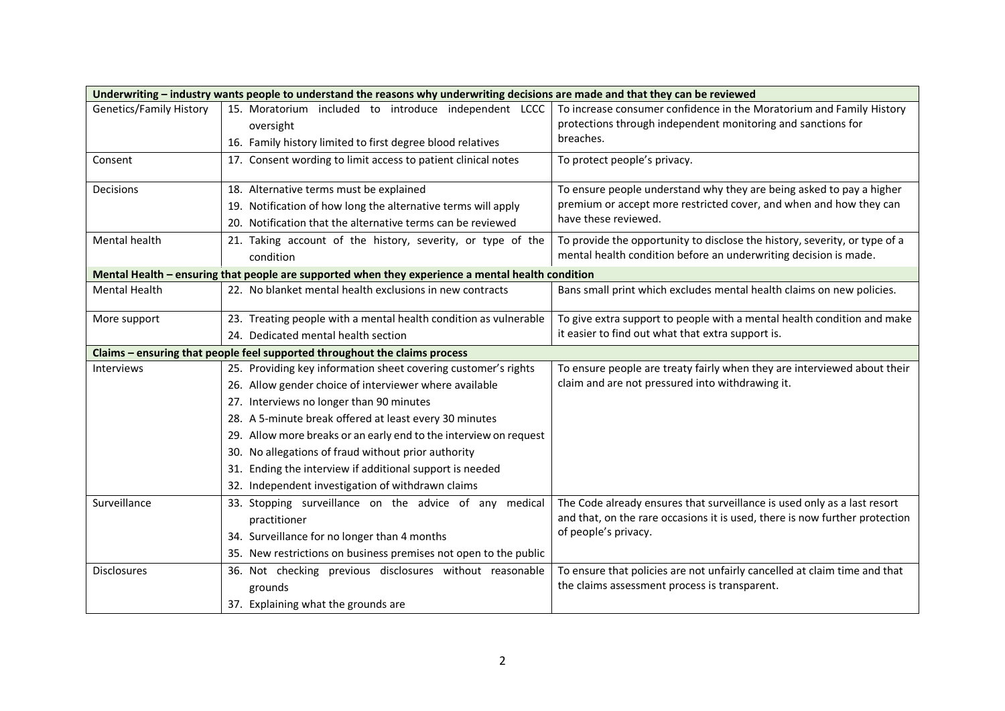| Underwriting - industry wants people to understand the reasons why underwriting decisions are made and that they can be reviewed |                                                                   |                                                                                                                                                                    |  |  |  |
|----------------------------------------------------------------------------------------------------------------------------------|-------------------------------------------------------------------|--------------------------------------------------------------------------------------------------------------------------------------------------------------------|--|--|--|
| <b>Genetics/Family History</b>                                                                                                   | 15. Moratorium included to introduce independent LCCC             | To increase consumer confidence in the Moratorium and Family History                                                                                               |  |  |  |
|                                                                                                                                  | oversight                                                         | protections through independent monitoring and sanctions for                                                                                                       |  |  |  |
|                                                                                                                                  | 16. Family history limited to first degree blood relatives        | breaches.                                                                                                                                                          |  |  |  |
| Consent                                                                                                                          | 17. Consent wording to limit access to patient clinical notes     | To protect people's privacy.                                                                                                                                       |  |  |  |
| Decisions                                                                                                                        | 18. Alternative terms must be explained                           | To ensure people understand why they are being asked to pay a higher<br>premium or accept more restricted cover, and when and how they can<br>have these reviewed. |  |  |  |
|                                                                                                                                  | 19. Notification of how long the alternative terms will apply     |                                                                                                                                                                    |  |  |  |
|                                                                                                                                  | 20. Notification that the alternative terms can be reviewed       |                                                                                                                                                                    |  |  |  |
| Mental health                                                                                                                    | 21. Taking account of the history, severity, or type of the       | To provide the opportunity to disclose the history, severity, or type of a<br>mental health condition before an underwriting decision is made.                     |  |  |  |
|                                                                                                                                  | condition                                                         |                                                                                                                                                                    |  |  |  |
| Mental Health - ensuring that people are supported when they experience a mental health condition                                |                                                                   |                                                                                                                                                                    |  |  |  |
| <b>Mental Health</b>                                                                                                             | 22. No blanket mental health exclusions in new contracts          | Bans small print which excludes mental health claims on new policies.                                                                                              |  |  |  |
| More support                                                                                                                     | 23. Treating people with a mental health condition as vulnerable  | To give extra support to people with a mental health condition and make                                                                                            |  |  |  |
|                                                                                                                                  | 24. Dedicated mental health section                               | it easier to find out what that extra support is.                                                                                                                  |  |  |  |
| Claims - ensuring that people feel supported throughout the claims process                                                       |                                                                   |                                                                                                                                                                    |  |  |  |
| Interviews                                                                                                                       | 25. Providing key information sheet covering customer's rights    | To ensure people are treaty fairly when they are interviewed about their                                                                                           |  |  |  |
|                                                                                                                                  | 26. Allow gender choice of interviewer where available            | claim and are not pressured into withdrawing it.                                                                                                                   |  |  |  |
|                                                                                                                                  | 27. Interviews no longer than 90 minutes                          |                                                                                                                                                                    |  |  |  |
|                                                                                                                                  | 28. A 5-minute break offered at least every 30 minutes            |                                                                                                                                                                    |  |  |  |
|                                                                                                                                  | 29. Allow more breaks or an early end to the interview on request |                                                                                                                                                                    |  |  |  |
|                                                                                                                                  | 30. No allegations of fraud without prior authority               |                                                                                                                                                                    |  |  |  |
|                                                                                                                                  | 31. Ending the interview if additional support is needed          |                                                                                                                                                                    |  |  |  |
|                                                                                                                                  | 32. Independent investigation of withdrawn claims                 |                                                                                                                                                                    |  |  |  |
| Surveillance                                                                                                                     | 33. Stopping surveillance on the advice of any medical            | The Code already ensures that surveillance is used only as a last resort                                                                                           |  |  |  |
|                                                                                                                                  | practitioner                                                      | and that, on the rare occasions it is used, there is now further protection<br>of people's privacy.                                                                |  |  |  |
|                                                                                                                                  | 34. Surveillance for no longer than 4 months                      |                                                                                                                                                                    |  |  |  |
|                                                                                                                                  | 35. New restrictions on business premises not open to the public  |                                                                                                                                                                    |  |  |  |
| <b>Disclosures</b>                                                                                                               | 36. Not checking previous disclosures without reasonable          | To ensure that policies are not unfairly cancelled at claim time and that                                                                                          |  |  |  |
|                                                                                                                                  | grounds                                                           | the claims assessment process is transparent.                                                                                                                      |  |  |  |
|                                                                                                                                  | 37. Explaining what the grounds are                               |                                                                                                                                                                    |  |  |  |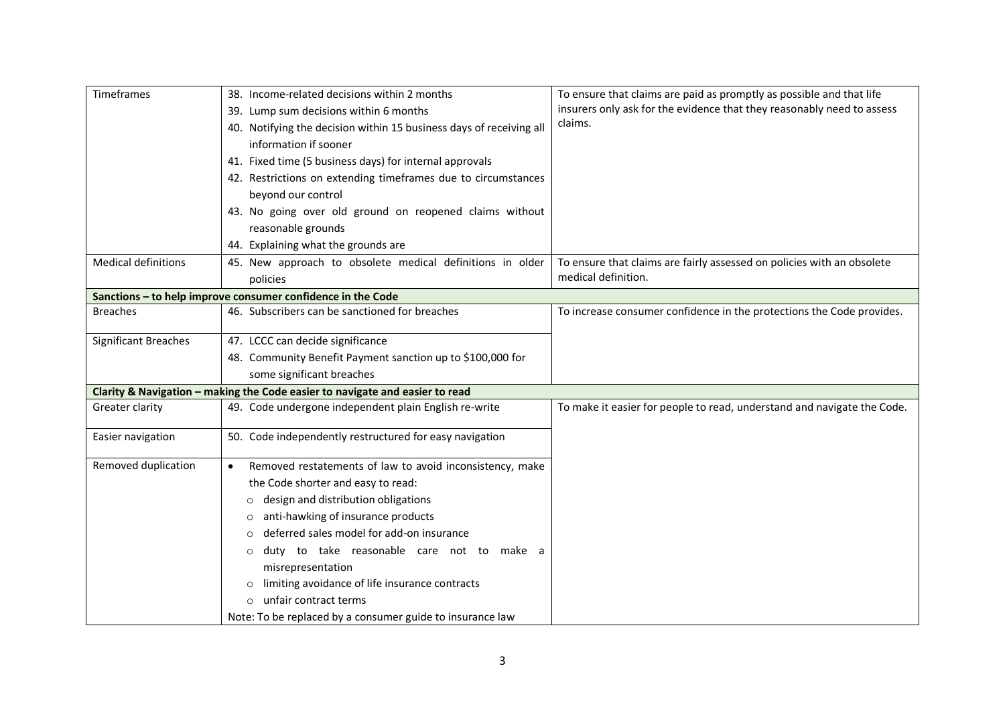| Timeframes                                                  | 38. Income-related decisions within 2 months                                 | To ensure that claims are paid as promptly as possible and that life                          |  |  |  |
|-------------------------------------------------------------|------------------------------------------------------------------------------|-----------------------------------------------------------------------------------------------|--|--|--|
|                                                             | 39. Lump sum decisions within 6 months                                       | insurers only ask for the evidence that they reasonably need to assess                        |  |  |  |
|                                                             | 40. Notifying the decision within 15 business days of receiving all          | claims.                                                                                       |  |  |  |
|                                                             | information if sooner                                                        |                                                                                               |  |  |  |
|                                                             | 41. Fixed time (5 business days) for internal approvals                      |                                                                                               |  |  |  |
|                                                             | 42. Restrictions on extending timeframes due to circumstances                |                                                                                               |  |  |  |
|                                                             | beyond our control                                                           |                                                                                               |  |  |  |
|                                                             | 43. No going over old ground on reopened claims without                      |                                                                                               |  |  |  |
|                                                             | reasonable grounds                                                           |                                                                                               |  |  |  |
|                                                             | 44. Explaining what the grounds are                                          |                                                                                               |  |  |  |
| <b>Medical definitions</b>                                  | 45. New approach to obsolete medical definitions in older                    | To ensure that claims are fairly assessed on policies with an obsolete<br>medical definition. |  |  |  |
|                                                             | policies                                                                     |                                                                                               |  |  |  |
| Sanctions - to help improve consumer confidence in the Code |                                                                              |                                                                                               |  |  |  |
| <b>Breaches</b>                                             | 46. Subscribers can be sanctioned for breaches                               | To increase consumer confidence in the protections the Code provides.                         |  |  |  |
|                                                             |                                                                              |                                                                                               |  |  |  |
| Significant Breaches                                        | 47. LCCC can decide significance                                             |                                                                                               |  |  |  |
|                                                             | 48. Community Benefit Payment sanction up to \$100,000 for                   |                                                                                               |  |  |  |
|                                                             | some significant breaches                                                    |                                                                                               |  |  |  |
|                                                             | Clarity & Navigation - making the Code easier to navigate and easier to read |                                                                                               |  |  |  |
| Greater clarity                                             | 49. Code undergone independent plain English re-write                        | To make it easier for people to read, understand and navigate the Code.                       |  |  |  |
| Easier navigation                                           | 50. Code independently restructured for easy navigation                      |                                                                                               |  |  |  |
| Removed duplication                                         | Removed restatements of law to avoid inconsistency, make<br>$\bullet$        |                                                                                               |  |  |  |
|                                                             | the Code shorter and easy to read:                                           |                                                                                               |  |  |  |
|                                                             | design and distribution obligations<br>$\circ$                               |                                                                                               |  |  |  |
|                                                             | anti-hawking of insurance products<br>$\circ$                                |                                                                                               |  |  |  |
|                                                             | deferred sales model for add-on insurance<br>$\circ$                         |                                                                                               |  |  |  |
|                                                             | duty to take reasonable care not to make a<br>$\circ$                        |                                                                                               |  |  |  |
|                                                             | misrepresentation                                                            |                                                                                               |  |  |  |
|                                                             | limiting avoidance of life insurance contracts<br>$\circ$                    |                                                                                               |  |  |  |
|                                                             | unfair contract terms                                                        |                                                                                               |  |  |  |
|                                                             | Note: To be replaced by a consumer guide to insurance law                    |                                                                                               |  |  |  |